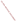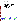

# **Environmental Technology Verification Program** Advanced Monitoring Systems Center

Test/QA Plan for Verification of Rapid ToxicityTechnologies

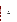# **Test/QA Plan**

**Verification of Rapid Toxicity Technologies** 

**June 11, 2003** 

**Prepared by** 

**Battelle 505 King Avenue Columbus, OH 43201-2693**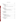# **TABLE OF CONTENTS**

| 2.3.2 Drinking Water Fortified with Contaminants  14<br>2.3.3 Drinking Water Fortified with Interfering Compounds 16 |  |
|----------------------------------------------------------------------------------------------------------------------|--|
|                                                                                                                      |  |
| 4.3.2 Stock Solution Confirmatory Methodologies  22                                                                  |  |
|                                                                                                                      |  |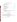# **TABLE OF CONTENTS (CONTINUED)**

| 7.1.1 Stock Solution/Dechlorinated Drinking Water Sample Preparation  33 |  |
|--------------------------------------------------------------------------|--|
|                                                                          |  |
|                                                                          |  |
|                                                                          |  |
| <b>APPENDIX</b>                                                          |  |

# **LIST OF TABLES**

| Table 3. Contaminant and Interfering Compounds Stock Solution Confirmatory Methods  22 |  |
|----------------------------------------------------------------------------------------|--|
|                                                                                        |  |

# **LIST OF FIGURES**

|--|--|--|--|--|--|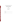# ETV Advanced Monitoring Systems Center

Test/QA Plan for Verification of Rapid Toxicity Technologies

Version 1

June 11, 2003

APPROVAL:

| Name    |  |  |  |
|---------|--|--|--|
| Company |  |  |  |
| Date    |  |  |  |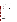#### DISTRIBUTION LIST

Elizabeth A. Betz Juha Lappalainen U.S. Environmental Protection Agency-HEASD Aboatox Oy National Exposure Research Laboratory Lemminkäisenkatu 36 E205-01 EPA Mailroom FI-20520 Turku, Finland Research Triangle Park, NC 27711

Robert Fuerst Hidex Oy U.S. Environmental Protection Agency-HEASD Mustionkatu 2 National Exposure Research Laboratory FIN-20750 Turku, Finland D205-05 EPA Mailroom Research Triangle Park, NC 27711 Karen Riggs

Nirit Ulitzur Ryan James CheckLight Ltd Zachary Willenberg P.O. Box 72 Battelle Qiryat-Tiv'on 36000 505 King Ave. Israel Columbus, OH 43201

Robert Ferguson Strategic Diagnostics Inc. 111 Pencader Drive Newark DE 19702-3322

Frank Kaiser Severn Trent Services 3000 Advance Lane Colmar, PA 18915

Dan Kroll Hach Company 5600 Lindbergh Drive Loveland, CO 80538-8998

Ken Hayes Aqua Survey, Inc. 499 Point Breeze Rd., Flemington, NJ 08822

Peter Perez International Laboratory Supply 9200 New Trails Drive The Woodlands, TX, 77381

Risto Juvonen

Amy Dindal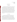#### **1.0 INTRODUCTION**

#### **1.1 Test Objective**

This test/quality assurance (QA) plan provides procedures for a verification test of rapid analysis technologies that measure toxicity in drinking water. The verification test will be conducted under the auspices of the U.S. Environmental Protection Agency (EPA) through the Environmental Technology Verification (ETV) program. The purpose of ETV is to provide objective and quality assured performance data on environmental technologies, so that users, developers, regulators, and consultants can make informed decisions about purchasing and applying these technologies. The objective of this verification test of rapid toxicity technologies is to evaluate their ability to detect certain toxins that are particularly toxic to humans and their susceptibility to interfering chemicals in a controlled experimental matrix. Multiple water quality matrices or mixtures of contaminants and interfering compounds will not be evaluated because such is beyond the scope of this test and would more appropriately evaluated on a case-by-case basis.

#### **1.2 Test Description**

The verification test will be performed by Battelle, of Columbus, Ohio, which is managing the ETV Advanced Monitoring Systems (AMS) Center through a cooperative agreement with EPA. The scope of the AMS Center covers verification of monitoring technologies for contaminants and natural species in air, water, and soil. In performing the verification test, Battelle will follow the procedures specified in this test/QA plan, and will comply with the data quality requirements in the "Quality Management Plan (QMP) for the ETV Advanced Monitoring Systems Center"<sup>1</sup>. Various contaminants will be added to drinking water at multiple concentration levels and analyzed by the participating technologies to assess their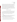Rapid Toxicity Technologies Test/QA Plan Page 2 of 39 Version 1 Date: 6/11/03

ability to detect the toxicity of these contaminants in drinking water. After analysis of several concentrations of each contaminant, the lowest concentration of each contaminant that causes inhibition greater than that of the negative control will be reported. The precision of the results will be evaluated by making replicate measurements on each test sample and qualitative characteristics of each technology such as ease of use and field portability will be assessed through observations made by the test coordinator and operators throughout the verification test. The results from each technology will be reported individually. No direct comparison will be made between technologies, but each technology will undergo similar testing so it is convenient for end users to evaluate the ETV testing results.

#### **1.3 Organization and Responsibility**

The verification test will be performed by Battelle with the participation of the interested vendors who will be having their technologies verified. The testing will occur at Battelle's Columbus and West Jefferson, Ohio laboratories and at a field location in the Columbus area. The organizational chart shown in Figure 1 shows the individuals from Battelle, the vendor companies, and the EPA who will have responsibilities in the verification test.

#### **1.3.1 Battelle**

Dr. Ryan James is the AMS Center Verification Test Coordinator. In this role, Dr. James will have overall responsibility for ensuring that the technical, schedule, and cost goals established for the verification test are met. More specifically, he will:

- Assemble a team of qualified technical staff to conduct the verification test.
- Direct the team in performing the verification test in accordance with the test/QA plan
- Ensure that all quality procedures specified in the test/QA plan and in the QMP are followed.
- Prepare the draft test/QA plan, verification reports, and verification statements.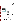Rapid Toxicity Technologies Test/QA Plan Page 3 of 39 Version 1 Date: 6/11/03



Figure 1. Organization Chart for the Verification Test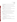- Revise the draft test/QA plan, verification reports, and verification statements in response to reviewers' comments.
- Coordinate distribution of the final test/QA plan, verification reports, and verification statements.
- Respond to any issues raised in assessment reports and audits, including instituting corrective action as necessary.
- Serve as the primary point of contact for vendor representatives.
- Establish a budget for the verification test and monitor staff effort to ensure the budget is not exceeded.
- Ensure that confidentiality of vendor information is maintained.

Ms. Amy Dindal is a Verification Testing Leader for the AMS Center. As such, Ms. Dindal will provide technical guidance and oversee the various stages of verification testing. She will:

- Support Dr. James in preparing the test/QA plan and organizing the testing.
- Assist Dr. James in anticipating and resolving potential technical problems with the verification test.
- Review the draft test/QA plan.
- Review the draft verification reports and statements.

Ms. Karen Riggs is Battelle's manager for the AMS Center. As such, Ms. Riggs will:

- Review the draft test/OA plan.
- Review the draft verification reports and verification statements.
- Ensure that necessary Battelle resources, including staff and facilities, are committed to the verification test.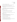- Ensure that vendor confidentiality is maintained.
- Support Dr. James in responding to any issues raised in assessment reports and audits.
- Maintain communication with EPA's technical and quality managers.
- Facilitate a stop work order if Battelle or EPA QA staff discovers adverse findings that will compromise test results.

Battelle Technical Staff will conduct the testing of the technologies during the verification test and associated experimental activities. The responsibilities of these technical staff include:

- Assist in the preparation of samples.
- Analyze samples for the verification test as described in this test/QA plan.
- Make qualitative observations about the operation of the technologies.

Mr. Zachary Willenberg is Battelle's Quality Manager for the AMS Center. As such Mr. Willenberg will:

- Review the draft test/QA plan.
- Conduct quality review of the documentation exhibiting the capability of an outside laboratory to perform solution confirmation analyses.
- Conduct a technical systems audit during the verification test.
- Audit at least 10% of the verification data.
- Prepare and distribute an assessment report for each audit.
- Verify implementation of any necessary corrective action.
- Issue a stop work order if self audits indicate that data quality is being compromised; notify Battelle's AMS Center Manager if stop work order is issued.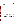- Provide a summary of the quality assurance/quality control (QA/QC) activities and results for the verification reports.
- Review the draft verification reports and statements.
- Have an overall responsibility for ensuring that the test/QA plan is followed.

Mr. Gary Carlin is Battelle's Environmental Health and Safety representative for the AMS Center. As such Mr. Carlin will:

- Review the safety issues related to handling the contaminants and provide input into the test/QA plan.
- Advise staff working with the contaminants on personal protective equipment and training needs.

## **1.3.2 Vendors**

Vendor representatives will:

- Review the draft test/QA plan.
- Approve the test/QA plan.
- Provide one complete commercially-available rapid toxicity technology and associated equipment/materials required for operation throughout the duration of the verification test.
- Provide all needed consumables for number of test samples included in the verification test.
- As desired, instruct Battelle personnel on how to operate the technology prior to testing.
- Review their respective draft verification report and statement.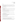# **1.3.3 EPA**

EPA's responsibilities in the AMS Center are based on the requirements stated in the "Environmental Technology Verification Program Quality Management Plan"2 . The roles of the specific EPA staff are as follows:

Ms. Elizabeth Betz is EPA's Quality Assurance Manager. For the verification test, Ms. Betz will:

- Review the draft test/QA plan.
- Direct the performance, at the EPA's discretion, of external technical systems audit(s) during the verification test.
- Notify the Battelle AMS Center Manager to facilitate a stop work order if the external audit indicates that data quality is being compromised.
- Prepare and distribute an assessment report summarizing results of the external audit.
- Review draft verification reports and statements.

Mr. Robert Fuerst is EPA's manager for the AMS Center. As such, Mr. Fuerst will:

- Review the draft test/QA plan.
- Notify the Battelle AMS Center Manager to facilitate a stop work order if an external audit indicates that data quality is being compromised.
- Review the draft verification statements.
- Review the final verification reports.
- Coordinate submission of the verification reports and statements for final EPA approvals.

# **1.3.4 Analytical Laboratories Used for Stock Solution Confirmation**

When methods are available, the contaminant concentration of the stock solutions will be confirmed**.** When the analyses are within Battelle's capabilities, Battelle will perform the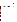analyses, but if it is more cost effective, Battelle may collaborate with or establish a subcontract with a commercial laboratory to perform the analyses.

In order to be selected to perform the confirmatory analyses during the verification test, a commercial laboratory will need to provide Battelle documentation that demonstrates its competence to perform the needed analysis, such documentation may include copies of: their method/standard operating procedure, quality assurance manual, state government certifications/approvals for analysis of the appropriate contaminant, and/or staff training records, where available. If the prospective laboratory does not demonstrate their capability adequately, another laboratory will be selected and their competence verified in a similar manner.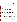#### **2.0 VERIFICATION APPROACH**

#### **2.1 Scope of Testing**

The verification test of rapid toxicity technologies will focus on a broad range of contaminants that have been prioritized by the ETV stakeholder process. These rapid toxicity technologies do not provide identification or concentration of specific contaminants, but serve as a rapid screening tool to determine if the water being tested is toxic. As part of this verification test, the rapid toxicity technologies will be subjected to various concentrations of contaminants representing several categories of chemicals such as industrial chemicals, pesticides, rodenticides, pharmaceuticals, nerve agents, and biological toxins. Each contaminant will be added to separate drinking water samples and analyzed by the rapid toxicity technologies. In addition to determining whether or not these technologies can detect the toxicity caused by each contaminant, the response of these technologies to interfering compounds likely to be present in clean drinking water, such as chemicals used for water treatment and byproducts of water treatment processes, will be evaluated. Table 1 shows the contaminants and the interfering compounds that will be evaluated during this verification test.

This test/QA plan specifically addresses verification testing of technologies that rapidly detect the toxicity of water samples. While there are many compounds that are toxic to the test organisms that are not toxic to humans, this verification test will focus on contaminants that are particularly toxic to humans. The technologies function by adding the water sample to a bacteria (*Vibrio fischeri*), enzyme (luciferase), or small crustacean (*Daphnia magna*) that either directly, or in combination with reagents, produce a background level of light production or rate of dissolved oxygen uptake (DOUR) in the absence of toxic contaminants. If toxic contaminants are present in the water, depending on the vendor, their toxicity is indicated by a change in color or intensity of the light production or by a decrease in the DOUR in proportion to the concentration level of the contaminant. This indication of toxicity will be generically referred to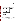as "inhibition" through the remainder of this test/QA plan. These technologies report the inhibition of each drinking water sample with respect to the inhibition of either ASTM Type II deionized (DI) water or non-toxic drinking water. The results are reported visually or via a digital display or electronic output signal. The technologies that are designed

| Category            | <b>Contaminant</b>     | <b>Interfering Compounds</b>   |
|---------------------|------------------------|--------------------------------|
| Industrial chemical | cyanide                | manganese, iron, aluminum,     |
| Carbamate pesticide | aldicarb               | copper sulfate, chloramination |
| Organophosphate     | dicrotophos            | byproducts, chlorination       |
| pesticide           |                        | byproducts, zinc sulfate       |
| Rodenticide         | thallium sulfate       |                                |
| Pharmaceutical      | colchicine             |                                |
| Nerve agents        | VX, soman              |                                |
| Biological toxins   | ricin, botulinum toxin |                                |

**Table 1. Categories, Contaminants, and Water Treatment Interferences** 

for use in a field location will be tested at a non-laboratory venue, and all of the technologies will be tested in a laboratory.

The verification of the rapid toxicity technologies will be done through the analysis of drinking water samples fortified with various concentrations of individual contaminants. ETV verifications usually include a comparison of the results generated by the technologies being verified with the results of analysis of the same samples using a standard reference method that measures the same endpoint, usually concentration. In the case of this verification test, the most common standard method for toxicity is the Whole Effluent Toxicity<sup>3</sup> (WET) method. Most of the rapid toxicity technologies employ organisms for the detection mechanism that are different from the organisms suggested for used in the WET method. The sensitivity of different organisms to contaminants will be different among different species. Therefore, this method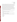Rapid Toxicity Technologies Test/QA Plan Page 11 of 39 Version 1 Date: 6/11/03

would not provide an appropriate benchmark for direct comparison with the results produced by all of the rapid toxicity technologies because of the lack of sameness of organism. It is well documented that the contaminants used during this verification test are toxic and the objective of the test is to determine each rapid toxicity technology's ability to detect this toxicity if the contaminant is present, not to compare their response with the WET method. In lieu of a traditional reference measurement of toxicity, the concentration of each contaminant or interfering compound fortified into the drinking water sample will be confirmed independently by standard confirmatory methods, when available. When a standard method is not available, QA oversight (balance calibration, audits, and purity tracking of the standards) of the solution preparation will ensure the accuracy of the sample concentration.

The rapid toxicity technologies provide a measure of toxicity, and will be evaluated by reporting:

- endpoint (% inhibition,  $EC_{50}$ ,  $EC_{30}$ , toxicity threshold) for all concentration levels, contaminants and potential interfering compounds
- precision
- false negative rate (frequency of inhibition similar to the negative control reported when a contaminant is present at toxic concentrations)
- false positive rate (frequency of detectable inhibition reported in unspiked drinking water samples)
- field portability
- ease of use
- throughput.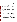#### **2.2 Experimental Design**

The verification test will involve challenging the rapid toxicity technologies with drinking water samples fortified separately with the contaminants and interfering compounds listed in Table 1. Each technology will analyze samples containing the contaminants at concentration levels that would be lethal if ingested. Subsequent dilutions (dilution factors as per each vendor's protocol, otherwise tenfold) will be prepared and analyzed until there is no longer inhibition as measured by each technology. From these data, the lowest concentration at which the toxicity can be detected, or toxicity threshold, will be estimated for each technology with respect to each contaminant. A common endpoint such as the effective concentration causing 50% inhibition ( $EC_{50}$ ) will be reported for each technology along with data reflecting the rate of false positive and negative results and the precision of the rapid toxicity technologies. Inhibition results (endpoints) specific to each technology from four replicates of each contaminant at each concentration level will be evaluated in order to evaluate the precision of the technologies.

The response of the rapid toxicity technologies to compounds used during the water treatment process (see Table 1) will be evaluated as potential interfering compounds by analyzing separate drinking water samples fortified with the EPA's National Secondary Drinking Water Regulations  $(NSDWR)^4$  level of each compound. For analysis of byproducts of the chlorination process, the unspiked drinking water sample will be analyzed because it will be from a water utility that uses chlorination as it disinfection process. For the analysis of byproducts of the chloramination process, a separate water sample will be obtained from a water system that uses chloramination as its disinfection process.

Sample throughput will be measured based on the number of samples analyzed per day. Performance parameters, such as ease of use and reliability, will be based on documented observations of the operators and test coordinator. Each technology will be used in a field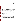environment, as well as in a laboratory setting, to assess the impact of field conditions on performance.

#### **2.3 Test Samples**

Test samples to be used in this verification test will include drinking water (DW) and quality control (QC) samples. Tables estimating the number of samples to be analyzed are provided in the Appendix. The drinking water samples will be prepared from a single drinking water sample collected from a tap in a system that uses chlorination as the disinfectant procedure. The water will be dechlorinated (with sodium thiosulfate or as per vendor protocol) and fortified with various concentrations of contaminants and interferences. Individual solutions containing each contaminant and potential interfering compound separately will be prepared. Subsequent dilutions of the contaminant samples with dechlorinated drinking water or ASTM Type II DI water (as per vendor protocol) will be analyzed by the rapid toxicity technologies until there is no longer detectable inhibition. Mixtures of contaminants and interfering compounds will not be analyzed. The QC samples will include method blank samples and positive and negative control samples.

#### **2.3.1 QC Samples**

The QC samples will include method blank samples, which will consist of ASTM Type II DI water; positive control samples, which will consist of ASTM Type II DI water fortified with a contaminant and concentration selected by each vendor; and negative control samples, which will consist of the unspiked dechlorinated drinking water sample. The method blank samples will be used to help ensure that no sources of contamination are introduced in the sample handling and analysis procedures. The positive control samples will provide an indication to the operator whether or not the rapid toxicity technology is functioning properly. The vendor will provide the approximate inhibition endpoint that should result upon analysis of the positive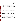Rapid Toxicity Technologies Test/QA Plan Page 14 of 39 Version 1 Date: 6/11/03

control by their technology. While there will not be required performance limits placed on the result of the positive control sample, if the result is not in the range of anticipated results specified by the vendor, it will indicate to the operator that the technology may have been operated incorrectly. The negative control sample will be used to set a background toxicity of the water sample. Any change in inhibition from the negative control sample can be considered to be due to the presence of a contaminant. At least one method blank and positive control sample will be analyzed for every 20 samples (more often if required by vendor's protocol) analyzed by each rapid toxicity technology. Negative control samples will be analyzed as often as required to accommodate the vendor's analytical protocol.

#### **2.3.2 Drinking Water Fortified with Contaminants**

Approximately 50-L of a single drinking water sample, drinking water from a municipal supply that uses chlorination as its disinfectant procedure, will be collected in a high density polyethylene (HDPE) container as part of this verification test. The sample container will be pre-cleaned by the manufacturer and certified to be contaminant free. After sample collection, aliquots of the water sample will be analyzed for several water quality parameters such as: the concentration of trihalomethanes, haloacetic acids, total organic halides, copper, aluminum, iron, manganese, and zinc; turbidity; dissolved organic carbon content; pH; alkalinity; specific conductivity; and hardness. Prior to analysis, these aliquots will have been preserved as per the standard methods for these analyses. The remaining drinking water sample will be dechlorinated with approximately 1 mg of sodium thiosulfate pentahydrate for every liter of drinking water remaining. A scoop that holds approximately 1 mg will be used to measure the sodium thiosulfate pentahydrate into the water sample. It is acceptable for the vendors to use different dechlorination procedures as part of their protocol. All subsequent test samples will be prepared from this dechlorinated drinking water (DW) and stored in glass containers to avoid the leaching of chlorine from HDPE plastics.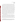Rapid Toxicity Technologies Test/QA Plan Page 15 of 39 Version 1 Date: 6/11/03

A stock solution of each contaminant at the lethal dose concentration level will be prepared in the DW. Table A-1 in the Appendix lists the concentration level of the lethal dose sample of each contaminant and the number of samples to be analyzed. Those stock solutions may be diluted by factors of 10, 100, 1,000, and 10,000 to generate a dilution series for each technology to analyze<sup>a</sup>. All the technologies will analyze at least the lethal dose concentration and the first two dilutions, but the technologies will only continue on and analyze the rest of the dilutions as long as they are detecting inhibition with respect to the negative control sample. For example, if the 100-fold dilution sample produced no detectable inhibition, the technology would not be required to analyze the more dilute samples. However, if the 100-fold dilution sample produced detectable inhibition, the technology would be required to analyze additional dilutions until the inhibition is similar to the negative control sample, even if samples with dilution factors greater than 10,000 need to be prepared. If a technology detects inhibition at the lethal dose level, but not at the 10-fold dilution factor, additional dilutions should be performed in order to obtain detectable results at a minimum of two concentration levels. Each dilution set will be analyzed four times by each technology. The endpoints (% inhibition,  $EC_{50}$ , etc.) reported by each technology will be recorded for each dilution sample or dilution series, whichever is appropriate for the specific endpoint. Each of the participating technologies will be tested as described above in Battelle laboratories.

Testing the operation of the rapid toxicity technologies in a field setting is a key component of the verification test. Evaluating the performance of each field portable technology while being used outside the laboratory without the availability of miscellaneous laboratory supplies is important to the buyers and users of these technologies. Technologies will only be evaluated in a field setting if the vendor states that the technology has that capability. At a nonlaboratory field location, each field portable technology will analyze a single water sample (four

<sup>&</sup>lt;sup>a-</sup>The scenario of multiple ten-fold dilutions is suggested for each vendor's technology to alleviate the practical difficulties of preparing different test solutions for each vendor. However, if the vendor's protocol includes dilutions (not necessarily ten-fold) to non-detectable levels, using their protocol would be acceptable as long as the appropriate endpoint data are obtained. Data forms will be provided to the operators to aid the documentation of the dilutions.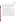Rapid Toxicity Technologies Test/QA Plan Page 16 of 39 Version 1 Date: 6/11/03

replicates) fortified with one of the contaminants (from Table 1) known only to the Verification Test Coordinator. The technologies will report its toxicity as prescribed by each vendor's protocol. The operators will follow the vendor's protocol exactly, as no guidance on concentration level or dilutions will be provided. All data obtained and dilutions performed while performing these analyses will be documented and the endpoints reported by each technology will be compared with those obtained in the laboratory setting.

## **2.3.3 Drinking Water Fortified with Interfering Compounds**

Individual aliquots of the drinking water sample described above (DW) will be fortified with one half the NSDWR guidance level of each potential interfering compound. Table A-2 in the appendix lists the interfering compounds along with the concentration at which they will be tested. Four replicates of each of these samples will be analyzed.

For the byproducts of the chlorination process, the unspiked drinking water sample (same as the negative control) will be analyzed in replicate since the water sample will be from a system disinfected with the chlorination process. For the byproducts of the chloramination process, a separate drinking water sample will be collected from a water utility that uses chloramination as the disinfecting process. This water sample will be characterized by measuring trihalomethanes, haloacetic acids, total organic halides, turbidity, dissolved organic carbon content, pH, alkalinity, specific conductivity, and hardness. Upon receipt, this sample will be dechlorinated as per vendor protocols to quench the chloramination process and, as for the other possible interfering compounds and chlorination byproducts, analyzed in replicates of four.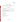# **3.0 MATERIALS AND EQUIPMENT**

In general, this verification test relies on the materials and equipment provided by the vendors. Battelle will provide the following equipment and materials.

#### **3.1 Laboratory Supplies**

The following supplies will be needed for the preparation of the DW and QC samples:

- ASTM Type II DI water
- various laboratory supplies necessary for accurate preparation of the test samples and subsequent dilutions (ie. volumetric pipets, pipet bulbs, Eppendorf micro pipettes/pipette tips, volumetric flasks, disposable pipets, etc.)
- reference standards with a known level of purity for target analytes (NIST traceable or equivalent)
- glass sample containers
- sodium thiosulfate pentahydrate
- sodium hypochlorite
- n, n-diethly-p-phenylenediamine (DPD) tablet
- personal protective equipment.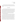Rapid Toxicity Technologies Test/QA Plan Page 18 of 39 Version 1 Date: 6/11/03

For the analysis of samples in the field setting, Battelle will provide only the water sample for analysis, the DW sample to be used by the operators for any necessary dilutions, and the QC samples. The operators will depend on only supplies provided by the vendor to analyze the samples.

#### **3.3 Special Facilities**

Four of the contaminants to be evaluated in this verification test (VX, soman, ricin, and botulinum toxin) can only be handled in laboratories that are specially designed and certified for the use of chemical and biological agents. Battelle's Medical Research and Evaluation Facility (MREF), which is a Department of Defense laboratory-scale facility conducting research with chemical and biological agents will be used for verification testing of the specified contaminants. The MREF is licensed to ship, receive, and handle select agents, as defined by the Centers for Disease Control and Prevention. The facility maintains state-of-the-art equipment and professional and technical staffing expertise to safely conduct testing and evaluation of hazardous chemical and biological materials.

The MREF and its personnel have the demonstrated capability for storing and safely handling VX, soman, ricin, and botulinum toxin. Battelle's agent stocks will be analyzed prior to testing to verify the purity of the agent used to make the test samples. Only chemical agents (CA) with purity greater than 85 percent will be used in this program. Handling of CA at the MREF are detailed in the following standard operating procedures (SOP): MREF SOP I-002 Storage, Dilution, and Transfer of GA, GB, GD, GF, TGD, VX, HD, HL, HN and L when CA Concentration/Quantity is Greater than Research Dilute Solution (RDS), MREF SOP I-003 Receipt, Transfer, Storage, and Use of Research Dilute Solution (RDS), and MREF SOP I-003 Disposal of Chemical Agent. These SOPs can be reviewed at the MREF facility, but copies cannot be made for external review. Biological agent use will be according to the CDC Select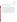Agents Program (32 CFR 626 and 627)<sup>5,6</sup> administered through the Biological Defense Research Program and the Battelle MREF Facility Safety Plan.

#### **3.4 Technology Operators**

Given the agent facility restrictions, vendors will not be able to operate their technologies during this verification test. Each rapid toxicity technology will be tested independently while being operated by a Battelle staff member. All operators will have a bachelor's level degree in the sciences or equivalent work experience. The vendor will provide training to the operators by means of a visit to Battelle or a conference call prior to the start of the verification test and then will be asked to sign a consent form stating the names of the Battelle staff they have trained. Each operator will manipulate the water samples and reagents to generate solutions that can be analyzed by the rapid toxicity technologies. More than one operator may be used by Battelle, but operators will be restricted to only operating technologies on which they have been trained. Battelle staff from the MREF will operate the technologies while analyzing samples fortified with VX, soman, ricin, and botulinum toxin.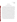#### **4.0 PROCEDURES**

#### **4.1 Test Sample Preparation and Storage**

The drinking water sample will be collected as described in Section 2.3.2 and because free chlorine will degrade many of the contaminants and interferences during storage, the sample will be immediately dechlorinated with sodium thiosulfate (or other dechlorination reagent as per vendor's protocol). The dechlorination of the drinking water will be qualitatively confirmed by adding a DPD tablet to an aliquot of the DW. If the water does not turn pink, the dechlorination process will be determined to be successful, if it does turn pink an additional 0.5 mg of sodium thiosulfate pentahydrate (or other dechlorinating reagent as per vendor's protocol) will be added to the sample for every liter of water and the dechlorination confirmation procedure will be repeated. Once dechlorination is confirmed, all the DW samples and the negative control QC samples will be made from this sample, while the method blank and positive control QC samples will be prepared from ASTM Type II DI water. The positive control samples will be diluted to appropriate concentrations using ASTM Type II DI water in Class A volumetric glassware. All QC samples will be prepared prior to the start of the testing and stored at room temperature for a maximum of 60 days. The DW samples will be prepared within 7 days of testing and stored in the dark at room temperature. Once dechlorinated and fortified with the contaminants, the DW samples will only be preserved chemically if absolutely necessary, as this verification test is designed to evaluate the ability of rapid toxicity technologies to measure toxicity in drinking water. Therefore, minimal adaptation of the water sample from between the time it comes out of the tap to the analysis time is preferred. Sample treatment as required by the vendors (such as pH adjustment) may need to be performed in order for the technologies to operate properly.

The concentration of the contaminant and interfering compound stock solutions will be verified with standard confirmatory methods, when available. Four aliquots of each stock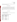solution will be analyzed. Aliquots to be analyzed by confirmatory methods will be preserved as prescribed by the standard method to be used.

#### **4.2 Sample Identification**

Aliquots to be analyzed by each technology will be drawn from the QC or drinking water samples and placed in uniquely identified sample containers. The sample containers will be identified by a unique identification (ID) number. A master log of the samples and sample ID numbers for each technology will be kept by Battelle. The ID number, date, person collecting, sample location, and time of collection will be recorded on a chain-of-custody form for all field samples.

#### **4.3 Sample Analysis**

#### **4.3.1 Drinking Water Characterization**

Table 2 lists the methods to be used to characterize the drinking water sample used as the water source throughout this verification test.

**Table 2. Drinking Water Characterization Standard Methods** 

| <b>Chemical</b> | <b>Method</b>          |
|-----------------|------------------------|
| Turbidity       | EPA 180.17             |
| Organic Carbon  | SM 5310 <sup>8</sup>   |
| Specific        | SM 2510 <sup>9</sup>   |
| Conductivity    |                        |
| Alkalinity      | SM 2320 <sup>9</sup>   |
| pH              | EPA $150.1^9$          |
| Hardness        | EPA 130.2 <sup>9</sup> |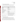#### **4.3.2 Stock Solution Confirmatory Methodologies**

Table 3 lists the methods to be used to verify the concentration of the stock solutions of the contaminants and metal interfering compounds analyzed during this verification test.

| <b>Chemical</b>                                                     | <b>Method</b>                                       |
|---------------------------------------------------------------------|-----------------------------------------------------|
| Cyanide                                                             | EPA 335.1 <sup>10</sup>                             |
| Aldicarb                                                            | EPA $531.1^{11}$                                    |
| Dicrotophos                                                         | EPA SW-846 $(8141A)^{12}$                           |
| Thallium, Manganese <sup>a</sup> , Iron <sup>a</sup> ,              | EPA 200.8 <sup>13</sup>                             |
| Aluminum <sup>a</sup> , Copper <sup>a</sup> , and Zinc <sup>a</sup> |                                                     |
| <b>Total Organic Halides</b>                                        | SM 5320B <sup>12</sup>                              |
| Trihalomethanes                                                     | EPA 524.2 <sup>14</sup>                             |
| Haloacetic Acids                                                    | EPA 552.2 <sup>15</sup>                             |
| Colchicine                                                          | No standard method available. QA audits and         |
|                                                                     | balance calibration will assure accurate solutions. |
| VX, Soman, Botulinum Toxin, Ricin                                   | MREF facility will perform purity analyses on       |
|                                                                     | chemical and biological agent materials using       |
|                                                                     | internal standard operating procedures              |

**Table 3. Contaminant and Interfering Compounds Stock Solution Confirmatory Methods** 

a Potential interfering compounds

#### **4.3.3 Technologies Undergoing Verification**

Each vendor will be required to provide one complete unit of their rapid toxicity technology and associated equipment and consumables required for the duration of the verification test. Each of the technologies being verified will be used to analyze the full set of samples. As has been described, the sample set will include replicates of each of the QC and drinking water samples. The analyses will be performed according to the vendor's recommended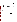procedures as described in the user's instructions or manual, or during training provided to the Battelle staff. Similarly, calibration and maintenance of the technologies will be performed as specified by the vendor.

Results from the technologies being verified will be recorded manually by the operator on appropriate data sheets. In addition to the analytical results, the data sheets will include records of the time required for sample analysis and operator observations concerning the use of the technologies (i.e., frequency of calibration, ease of use, maintenance, etc.).

#### **4.4 Schedule**

The verification test described here will take place throughout July and August 2003 at Battelle's laboratories in and near Columbus, Ohio and at a nearby field location. It will be necessary for participating vendors to provide their technologies to Battelle by a specified date so testing staff may become familiar with operating the units before testing begins. Vendor staff should provide training in operating the technologies either in person or by teleconference. Rapid toxicity technologies and associated equipment (but not consumables) will be returned to the vendors at the completion of report writing. Technologies will be decontaminated by washing with an aqueous solution of bleach before being returned to vendor.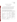## **5.0 DATA HANDLING AND REPORTING**

#### **5.1 Data Acquisition and Review**

A variety of data will be acquired and recorded electronically or manually by Battelle staff in this verification test. Operation, maintenance, and results from the rapid toxicity technologies and sampling procedures, will generally be documented on data sheets or in laboratory record books. Results from the confirmatory method instruments used will be compiled in electronic format. Table 4 summarizes the types of data to be recorded.

**Table 4. Summary of Data Recording Process for the Verification Test** 

| Data to be Recorded                                                                        | Responsible<br>Party                    | <b>Where Recorded</b>                                                                        | <b>How Often Recorded</b>                                        | Disposition of Data <sup>(a)</sup>                                                                     |
|--------------------------------------------------------------------------------------------|-----------------------------------------|----------------------------------------------------------------------------------------------|------------------------------------------------------------------|--------------------------------------------------------------------------------------------------------|
| Dates, times of test<br>events                                                             | <b>Battelle</b>                         | Laboratory record<br>books                                                                   | Start/end of test, and at<br>each change of a test<br>parameter. | Used to organize/check test<br>results; manually<br>incorporated in data<br>spreadsheets as necessary. |
| Sample preparation<br>(dates, concentrations,<br>preservation)                             | <b>Battelle</b>                         | Laboratory record<br>books                                                                   | When each solution is<br>prepared                                | Used to confirm the<br>concentration and integrity<br>of the samples analyzed                          |
| Test parameters<br>(contaminant)<br>concentrations,<br>location, etc.)                     | Battelle                                | Laboratory record<br>books                                                                   | When set or changed,<br>or as needed to<br>document stability.   | Used to organize/check test<br>results, manually<br>incorporated in data<br>spreadsheets as necessary. |
| Stock solution<br>confirmatory method<br>sample analysis, chain<br>of custody, and results | Battelle or<br>contracted<br>laboratory | Laboratory record<br>books, data sheets,<br>or data acquisition<br>system, as<br>appropriate | Throughout sample<br>handling and analysis<br>process            | Transferred to<br>spreadsheets/agreed upon<br>report                                                   |

(a) All activities subsequent to data recording are carried out by Battelle.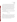Rapid Toxicity Technologies Test/QA Plan Page 25 of 39 Version 1 Date: 6/11/03

Records received by or generated by any Battelle staff during the verification test will be reviewed by a more senior Battelle staff member within two weeks of data collection, before these records are used to calculate, evaluate, or report verification results. These records may include electronic records; laboratory record books; field sampling records; or equipment calibration records. The review will be documented by the person performing the review by adding his/her initials and date to a hard copy of the record being reviewed. This hard copy will then be returned to the Battelle staff member who received, generated, or will be storing the record. In addition, data calculations performed by Battelle will be spot-checked by a more senior Battelle technical staff member to ensure that calculations are performed correctly. Calculations to be checked include confirmation analysis results and statistical calculations described in this test/QA plan.

The data obtained from this verification test will be compiled and reported independently for each rapid toxicity technology being verified. No intercomparison of the results from one vendor's technology to another's will be made.

#### **5.2 Data Evaluation**

#### **5.2.1 Endpoint**s

Each of the technologies produce their own unique endpoints that are all derived from the inhibition data gathered when analyzing various concentrations of contaminants in drinking water samples. Some of these endpoints include  $EC_{50}$ , effective concentration causing 30% inhibition  $(EC_{30})$ , and toxicity thresholds (estimate of lowest detectable concentration). For each technology, these data will be documented and presented with respect to each contaminant and concentration level. Where possible, the data from each technology will be converted to common endpoints to ease comparison among the verification reports.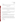Rapid Toxicity Technologies Test/QA Plan Page 26 of 39 Version 1 Date: 6/11/03

#### **5.2.2 Precision**

The standard deviation (S) of the results for the replicate samples will be calculated and used as a measure of technology precision at each concentration.

$$
S = \left[\frac{1}{n-1} \sum_{k=1}^{n} \left(I_k - \overline{I}\right)^2\right]^{1/2} \tag{3}
$$

where n is the number of replicate samples,  $I_k$  is the inhibition measured for the  $k<sup>th</sup>$  sample, and  $\overline{I}$  is the average inhibition of the replicate samples. The rapid toxicity technology precision at each concentration level will be reported in terms of the relative standard deviation (RSD), e.g.,

$$
RSD = \left| \frac{S}{\overline{C}} \right| \times 100 \tag{4}
$$

Also, the relative standard deviation (RSD) of the results for endpoints such as  $EC_{50}$  determined from analysis of replicate dilution series will be calculated and used as a measure of rapid toxicity technology precision with respect to each contaminant.

#### **5.2.3 False Positive/Negative Responses**

Results will be considered false positive only when an unspiked drinking water sample, administered blindly to the operators, produces inhibition greater than that of the negative control.

Results will be considered false negative only when a rapid toxicity technology is exposed to a lethal concentration of some contaminant in the drinking water sample and the rapid toxicity technology does not indicate inhibition greater than the negative control. The rate of false positives/false negatives will be expressed as a percentage of total samples analyzed for each contaminant.

#### **5.2.4 Field Portability**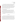Rapid Toxicity Technologies Test/QA Plan Page 27 of 39 Version 1 Date: 6/11/03

The results obtained from the measurements made on drinking water samples in the laboratory and field setting will be compiled independently for each rapid toxicity technology and compared to assess the accuracy of the measurements under the different analysis conditions. Means and standard deviations of the endpoints generated in both locations will be used to make the comparison. Also, qualitative observations of each technology's performance in a non-laboratory setting will be made by the Verification Test Coordinator and operators. Factors such as the ease of transport and set-up, demand for electrical power, and space requirement will be documented and discussed in the report.

#### **5.2.5 Other Performance Factors**

Ease of use will be qualitatively assessed throughout the verification test through observations of the operators and Verification Test Coordinator. Clarity of the vendors instruction manual, user-friendliness of any needed software, overall convenience of the technologies and accessories/consumables, and any unique qualitative observations are among the observations that will be documented and discussed in the verification report.

Sample throughput will be evaluated quantitatively based on the number of samples that can be analyzed per hour.

#### **5.3 Reporting**

The data obtained in the verification test will be compiled separately for each vendor's technology, and the data evaluations will be applied to each technology's data set without reference to any other. At no time will data from different vendor's rapid toxicity technology be intercompared or ranked. Following completion of the data evaluations, a draft verification report will be prepared for each vendor's rapid toxicity technology, stating the verification test procedures and documenting the performance observed. The draft verification reports will each be submitted to the respective vendors for review and comment. Battelle will consider the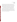Rapid Toxicity Technologies Test/QA Plan Page 28 of 39 Version 1 Date: 6/11/03

comments provided by each vendor when revising the verification reports, but does not guarantee that revisions made to the final verification reports will reflect those comments. A written response to all substantive vendor comments not included in the body of the report will be prepared and submitted to the vendor. After vendor review, the revised reports will be submitted to EPA and AMS Center stakeholders for peer review. The reports will then be revised again to address the peer review comments and submitted for final EPA approval.

A verification statement for each technology will be prepared in parallel with the verification reports. The verification statement is a two- to three-page summary of the technology, the test procedures, and the test results. Upon approval by EPA, each verification statement will be signed by a senior manager of Battelle and by an EPA laboratory director. Battelle will reserve the right to post the final verification reports and statements on the ETV website (http://www.epa.gov/etv). Original signed verification statements will be provided to the respective vendors for use in marketing their products.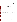# **6.0 QUALITY ASSURANCE /QUALITY CONTROL**

The QA/QC activities associated with this verification test will focus primarily on sample preparation and handling, and data recording and analysis. An independent audit covering each of these areas will be performed by the Battelle Quality Manager to ensure the quality of the verification test.

#### **6.1 QC of Stock Solution Confirmatory Method**

When confirmation analyses of the stock solutions of both contaminant and potential interfering compounds are performed, both method blank and negative control samples will also be performed. Method blank samples will be analyzed to ensure that no sources of contamination are present. If the analysis of a method blank sample indicates a concentration above the MDL for the confirmatory instrument, contamination will be suspected. Any contamination source(s) will be corrected, and proper blank readings will be achieved, before proceeding with the verification test. The negative control sample will indicate the background level of contaminant or potential interfering compound in the DW sample. If this concentration is more than 15% of the fortified concentration of contaminant or potential interfering compound, a correction for the recovery of the confirmation analyses will be performed to account for the amount present in the background.

#### **6.2 QC of Drinking Water QC Samples**

The method blank samples analyzed with the DW samples are expected to produce very little or no inhibition. If the inhibition is different from what the vendor suggests for a method blank sample, the analysis will be repeated once. For this re-analysis, a new method blank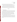sample will be prepared and clean vials/containers and fresh reagents will be used. If similar results persist, the vendor will be notified, but the verification test will proceed.

While there will not be required performance limits placed on the result of the positive control sample, if the result is not in the range of anticipated results specified by the vendor, it will indicate to the operator that the technology may have been operated incorrectly and the analysis of that sample will be repeated once using clean vials/containers and fresh reagents. If the unexpected result persists, the vendor will be notified, but the verification test will proceed.

#### **6.3 Audits**

#### **6.3.1 Technical Systems Audit**

The Battelle Quality Manager will conduct a technical systems audit at least once during the course of the verification test. The purpose of this audit is to ensure that the verification test is being performed in accordance with this test/QA plan and the AMS Center QMP<sup>1</sup>, and that all procedures described in this test/QA plan are being followed. This audit will review the contaminant standard and stock solution confirmatory methods used, compare actual test procedures to those specified in this test/QA plan, and review data acquisition and handling procedures. An independent technical systems audit may also be performed by EPA Quality Management staff during the verification test, at EPA's discretion.

Before using an outside laboratory to perform stock solution confirmation analyses, the Battelle Quality Manager will conduct an audit of the laboratory's quality documents. If there are areas of concern with the quality documents, the commercial laboratory will be notified, and if they are willing to adapt their procedures, the laboratory will still be used. If not, another laboratory will be selected.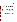#### **6.3.2 Performance Evaluation (PE) Audits**

The concentration of the standards used to prepare the DW samples fortified with contaminants and potential interfering compounds will be confirmed by analyzing standards prepared in Type II DI Water from two separate commercial vendors using the confirmatory methods. The standards from one vendor will be used during the verification test, while the standards from the second vendor will be used exclusively to confirm the accuracy of the displayed concentration of the first vendor. Agreement of the standards within 25% is required for the measurements to be considered as acceptable. Failure to achieve this agreement will trigger a repeat of the performance evaluation comparison. Failure in the second comparison requires obtaining another set of standards, and repeating the performance audit.

Given the security requirements and lack of confirmatory methodology for some of the contaminants in this verification test, PE audits will not be performed for all of the contaminants. They will be done when more than one source of the contaminant or potential interfering compounds are available and there are available confirmatory methods.

#### **6.3.3 Audit of Data Quality**

At least 10% percent of the data generated during the verification test will be audited during the verification test. Battelle's Quality Manager will trace the data from the initial acquisition, through reduction and statistical analysis, to final reporting, to ensure the integrity of the reported results. All calculations performed on the data undergoing the audit will be checked.

#### **6.4 QA/QC Reporting**

Each assessment and audit will be documented in accordance with Section 3.3.4 of the QMP for the AMS Center. The results of the technical systems audit will be sent to the EPA. Assessment reports will include the following: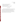- Identification of any adverse findings or potential problems.
- Response to adverse findings or potential problems.
- Recommendations for resolving problems.
- Confirmation that solutions have been implemented and are effective.
- Citation of any noteworthy practices that may be of use to others.

#### **6.5 Corrective Action**

The Battelle or EPA Quality Managers during the course of any assessment or audit will identify to the technical staff performing experimental activities any immediate corrective action that should be taken. If serious quality problems exist, the Battelle Quality Manager is authorized to stop work. Once the assessment report has been prepared, the Verification Test Coordinator will ensure that a response is provided for each adverse finding or potential problem, and will implement any necessary follow-up corrective action. The Battelle Quality Manager will ensure that follow-up corrective action has been taken.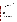# **7.0 HEALTH AND SAFETY**

#### **7.1 Handling of Contaminants**

#### **7.1.1 Stock Solution / DW Sample Preparation**

All handling of solid and highly concentrated aqueous solutions of contaminants and possible interferences will be done inside of a laboratory hood with hood sash set to the lowest height that still allows for safe manipulation of materials. The following guidelines should be adhered to:

- Personal protective equipment shall include safety glasses with side shields, a laboratory coat and nitrile lab gloves. Gloves shall be immediately changed if they become contaminated. (The same gloves can be used for sodium hydroxide)
- All contaminated waste shall be handled as hazardous waste and sent out through Battelle Waste Operations.

#### **7.1.2 Field Handling**

Field handling of the contaminant and interfering compound solutions will be accomplished by taking the following precautions:

- All containers shall be stored and transported in double containment.
- Safety goggles, nitrile gloves with long cuffs, and a chemical resistant disposable lab coat shall be worn when handling chemicals. Gloves shall be immediately changed if they become contaminated.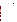## **7.1.3 VX, Soman, Ricin, and Botulinum Toxin**

These contaminants will be handled following the safety procedures required at the MREF facility as listed in Section 3.3.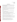# **8.0 REFERENCES**

- 1. Quality Management Plan (QMP) for the ETV Advanced Monitoring Systems Center, U.S. EPA Environmental Technology Verification Program, prepared by Battelle, Columbus, Ohio, Version 4.0 December 2002
- 2. "Environmental Technology Verification Program Quality Management Plan" (QMP), December 2002, EPA/600/R-03/021
- 3. Methods for Measuring the Acute Toxicity of Effluents and Receiving Waters to Freshwater and Marine Organisms, U.S. EPA Document, 5<sup>th</sup> Ed., EPA-821-R-02-012 October 2002.
- 4. Secondary Drinking Water Regulations: Guidance for Nuisance Chemicals, U.S. EPA Document, EPA-810-K-92-001, July 1992.
- 5. Code of Federal Regulations, Title 32, Chapter 5, Part 626, Biological Defense Safety Program.
- 6. Code of Federal Regulations, Title 32, Chapter 5, Part 626, Biological Defense Safety Program, Technical Safety Requirements.
- 7. EPA Method 180.1, "Turbidity (Nephelometric)", Methods for the Determination of Inorganic Substances in Environmental Samples EPA-600-R-93-100 1993.
- 8. American Public Health Association, et al. Standard Methods for the Examination of Water and Wastewater. 19<sup>th</sup> Edition, 1997. Washington, DC.
- 9. EPA Methods for Chemical Analysis of Water and Wastes EPA-600-4-79-020.
- 10. EPA Method 335.1, Cyanides Amenable to Chlorination, 1974, in "Methods for Chemical Analysis of Water and Wastes, " EPA-600-4-79-020, March 1983.
- 11. EPA Method 531.1, Measurement of n-Methylcarbamoyloximes and n-methylcarbamates in Water by Direct Aqueous Injection HPLC with Post Column Derivatization, Revision 3.1, 1995.
- 12. SW846 Method 8141A, "Organophosphorous Compounds by Gas Chromatography:Capillary Column Technique", Revision 1, September 1994.
- 13. EPA Method 200.8, "Determination of Trace Elements in Waters and Wastes by Inductively-Coupled Plasma Mass Spectrometry", Revision 5.4, 1994.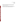- 14. EPA Method 524.2, "Purgeable Organic Compounds by Capillary Column GC/Mass Spectrometry", Methods for the Determination of Organic Compounds in Drinking Water-Supplement III EPA/600/R-95-131.
- 15. EPA Method 552.2, "Haloacetic Acids and Dalapon by Liquid-Liquid Extraction, Derivatization and GC with Electron Capture Detector", Methods for the Determination of Organic Compounds in Drinking Water-Supplement III EPA/600/R-95-131.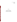Rapid Toxicity Technologies Test/QA Plan Page 37 of 39 Version 1 Date: 6/11/03

# **APPENDIX**

# **SUMMARY OF SAMPLES FOR RAPID TOXICITY TECHNOLOGIES**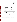Rapid Toxicity Technologies Test/QA Plan Page 38 of 39 Version 1 Date: 6/11/03

| Type of Sample                                                                                            | <b>Sample Characteristics</b>                                                              | <b>Lethal Dose</b><br>Concentration    | No. of Samples <sup>a</sup>   |
|-----------------------------------------------------------------------------------------------------------|--------------------------------------------------------------------------------------------|----------------------------------------|-------------------------------|
|                                                                                                           | Method Blank                                                                               | <b>NA</b>                              | At least 5% of all<br>samples |
| <b>Quality Control</b>                                                                                    | <b>Positive Control</b><br>(contaminant and<br>concentration determined by<br>each vendor) | NA                                     | At least 5% of all<br>samples |
|                                                                                                           | <b>Negative Control</b><br>(unfortified drinking water)                                    | <b>NA</b>                              | One per dilution series       |
|                                                                                                           | Unfortified drinking water                                                                 | <b>NA</b>                              | At least 5% of all<br>samples |
|                                                                                                           | Cyanide                                                                                    | $250$ mg/L                             | $12 - 20$                     |
|                                                                                                           | Aldicarb                                                                                   | $140$ mg/L                             | $12 - 20$                     |
|                                                                                                           | Dicrotophos                                                                                | $1.4$ g/L                              | $12 - 20$                     |
|                                                                                                           | <b>Thallium Sulfate</b>                                                                    | $2.8$ g/L                              | $12 - 20$                     |
| Drinking Water                                                                                            | Colchicine                                                                                 | $240$ mg/L                             | $12 - 20$                     |
|                                                                                                           | VX                                                                                         | $0.2 \text{ mg/L}$                     | $12 - 20$                     |
|                                                                                                           | Soman                                                                                      | $0.30$ mg/L                            | $12 - 20$                     |
|                                                                                                           | <b>Botulinum Toxin</b>                                                                     | $0.3$ mg/L                             | $12 - 20$                     |
|                                                                                                           | Ricin                                                                                      | $15 \text{ mg/L}$                      | $12 - 20$                     |
| One drinking water sample<br><b>Field Location</b><br>fortified with any one of the<br>above contaminants |                                                                                            | One of the<br>above<br>concentrations. | $12 - 20$                     |

**Table A-1. Summary of Contaminant Test Samples** 

 $a$  Each lethal dose concentration will be analyzed along with 2 to 4 dilutions. Four replicates of each dilution series will be analyzed. Therefore, the number of samples listed in the table is an approximate range.